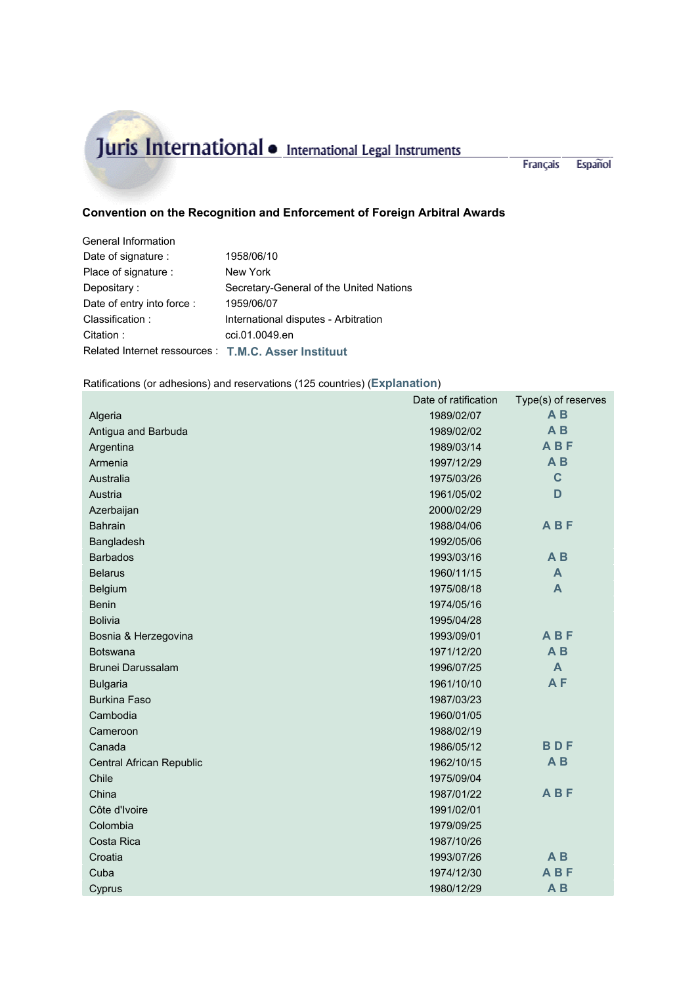## Juris International • International Legal Instruments

Français Español

 $\mathbb{R}$ 

## **Convention on the Recognition and Enforcement of Foreign Arbitral Awards**

| General Information                                  |                                         |
|------------------------------------------------------|-----------------------------------------|
| Date of signature :                                  | 1958/06/10                              |
| Place of signature :                                 | New York                                |
| Depositary:                                          | Secretary-General of the United Nations |
| Date of entry into force :                           | 1959/06/07                              |
| Classification:                                      | International disputes - Arbitration    |
| Citation:                                            | cci.01.0049.en                          |
| Related Internet ressources : T.M.C. Asser Instituut |                                         |

## Ratifications (or adhesions) and reservations (125 countries) (**Explanation**)

|                          | Date of ratification         | Type(s) of reserves |
|--------------------------|------------------------------|---------------------|
| Algeria                  | 1989/02/07                   | A <sub>B</sub>      |
| Antigua and Barbuda      | 1989/02/02                   | A <sub>B</sub>      |
| Argentina                | <b>ABF</b><br>1989/03/14     |                     |
| Armenia                  | 1997/12/29                   | A <sub>B</sub>      |
| Australia                | $\mathbf C$<br>1975/03/26    |                     |
| Austria                  | D<br>1961/05/02              |                     |
| Azerbaijan               | 2000/02/29                   |                     |
| <b>Bahrain</b>           | 1988/04/06                   | <b>ABF</b>          |
| Bangladesh               | 1992/05/06                   |                     |
| <b>Barbados</b>          | A <sub>B</sub><br>1993/03/16 |                     |
| <b>Belarus</b>           | 1960/11/15<br>A              |                     |
| Belgium                  | 1975/08/18<br>A              |                     |
| <b>Benin</b>             | 1974/05/16                   |                     |
| <b>Bolivia</b>           | 1995/04/28                   |                     |
| Bosnia & Herzegovina     | <b>ABF</b><br>1993/09/01     |                     |
| <b>Botswana</b>          | 1971/12/20                   | A <sub>B</sub>      |
| Brunei Darussalam        | 1996/07/25                   | $\mathsf{A}$        |
| <b>Bulgaria</b>          | 1961/10/10                   | AF                  |
| <b>Burkina Faso</b>      | 1987/03/23                   |                     |
| Cambodia                 | 1960/01/05                   |                     |
| Cameroon                 | 1988/02/19                   |                     |
| Canada                   | <b>BDF</b><br>1986/05/12     |                     |
| Central African Republic | A <sub>B</sub><br>1962/10/15 |                     |
| Chile                    | 1975/09/04                   |                     |
| China                    | 1987/01/22                   | <b>ABF</b>          |
| Côte d'Ivoire            | 1991/02/01                   |                     |
| Colombia                 | 1979/09/25                   |                     |
| Costa Rica               | 1987/10/26                   |                     |
| Croatia                  | $A$ $B$<br>1993/07/26        |                     |
| Cuba                     | 1974/12/30                   | <b>ABF</b>          |
| Cyprus                   | 1980/12/29                   | A <sub>B</sub>      |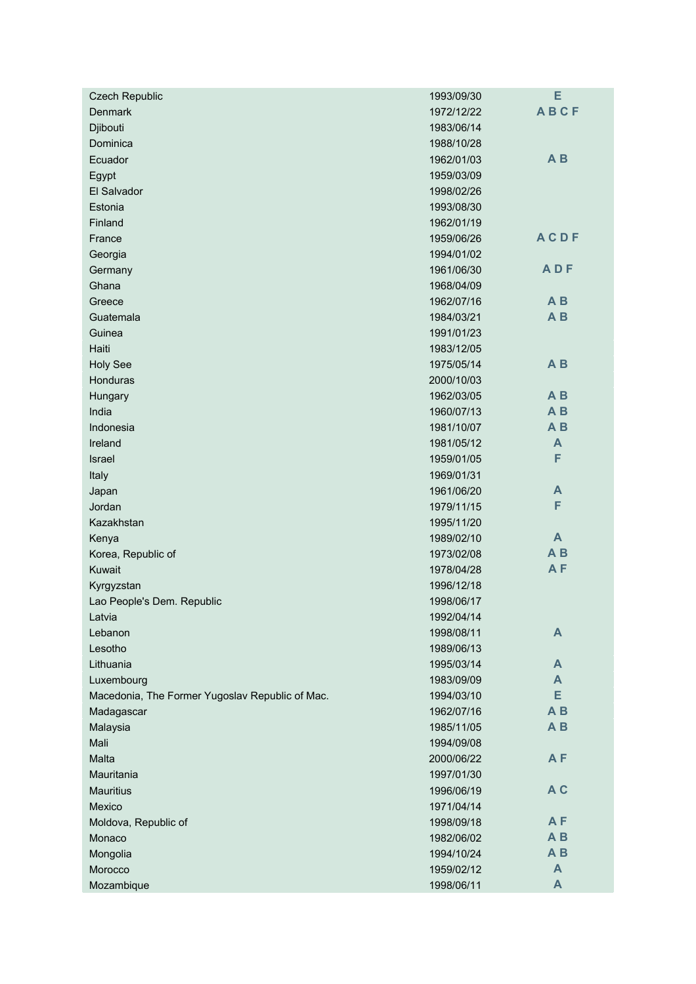| <b>Czech Republic</b>                           | 1993/09/30 | E              |
|-------------------------------------------------|------------|----------------|
| <b>Denmark</b>                                  | 1972/12/22 | <b>ABCF</b>    |
| Djibouti                                        | 1983/06/14 |                |
| Dominica                                        | 1988/10/28 |                |
| Ecuador                                         | 1962/01/03 | $A$ $B$        |
| Egypt                                           | 1959/03/09 |                |
| El Salvador                                     | 1998/02/26 |                |
| Estonia                                         | 1993/08/30 |                |
| Finland                                         | 1962/01/19 |                |
| France                                          | 1959/06/26 | <b>ACDF</b>    |
| Georgia                                         | 1994/01/02 |                |
| Germany                                         | 1961/06/30 | <b>ADF</b>     |
| Ghana                                           | 1968/04/09 |                |
| Greece                                          | 1962/07/16 | $A$ $B$        |
| Guatemala                                       | 1984/03/21 | A <sub>B</sub> |
| Guinea                                          | 1991/01/23 |                |
| Haiti                                           | 1983/12/05 |                |
| <b>Holy See</b>                                 | 1975/05/14 | $A$ $B$        |
| Honduras                                        | 2000/10/03 |                |
| Hungary                                         | 1962/03/05 | A <sub>B</sub> |
| India                                           | 1960/07/13 | A <sub>B</sub> |
| Indonesia                                       | 1981/10/07 | A <sub>B</sub> |
| Ireland                                         | 1981/05/12 | A              |
| Israel                                          | 1959/01/05 | F              |
| Italy                                           | 1969/01/31 |                |
| Japan                                           | 1961/06/20 | A              |
| Jordan                                          | 1979/11/15 | F              |
| Kazakhstan                                      | 1995/11/20 |                |
| Kenya                                           | 1989/02/10 | A              |
| Korea, Republic of                              | 1973/02/08 | $A$ $B$        |
| Kuwait                                          | 1978/04/28 | AF             |
| Kyrgyzstan                                      | 1996/12/18 |                |
| Lao People's Dem. Republic                      | 1998/06/17 |                |
| Latvia                                          | 1992/04/14 |                |
| Lebanon                                         | 1998/08/11 | A              |
| Lesotho                                         | 1989/06/13 |                |
| Lithuania                                       | 1995/03/14 | A              |
| Luxembourg                                      | 1983/09/09 | A              |
| Macedonia, The Former Yugoslav Republic of Mac. | 1994/03/10 | E              |
| Madagascar                                      | 1962/07/16 | A <sub>B</sub> |
| Malaysia                                        | 1985/11/05 | $A$ $B$        |
| Mali                                            | 1994/09/08 |                |
| Malta                                           | 2000/06/22 | AF             |
| Mauritania                                      | 1997/01/30 |                |
| <b>Mauritius</b>                                | 1996/06/19 | A <sub>C</sub> |
| Mexico                                          | 1971/04/14 |                |
| Moldova, Republic of                            | 1998/09/18 | A <sub>F</sub> |
| Monaco                                          | 1982/06/02 | A <sub>B</sub> |
| Mongolia                                        | 1994/10/24 | $A$ $B$        |
| Morocco                                         | 1959/02/12 | $\mathbf{A}$   |
| Mozambique                                      | 1998/06/11 | A              |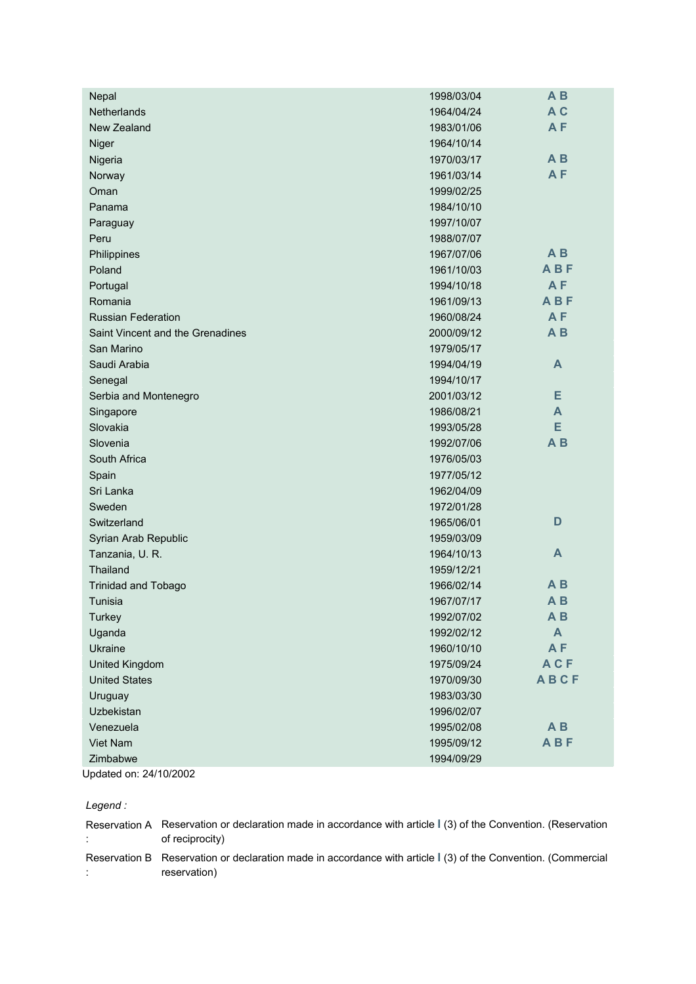| Nepal                            | 1998/03/04 | A <sub>B</sub>   |
|----------------------------------|------------|------------------|
| Netherlands                      | 1964/04/24 | A <sub>C</sub>   |
| New Zealand                      | 1983/01/06 | A <sub>F</sub>   |
| Niger                            | 1964/10/14 |                  |
| Nigeria                          | 1970/03/17 | A <sub>B</sub>   |
| Norway                           | 1961/03/14 | AF               |
| Oman                             | 1999/02/25 |                  |
| Panama                           | 1984/10/10 |                  |
| Paraguay                         | 1997/10/07 |                  |
| Peru                             | 1988/07/07 |                  |
| Philippines                      | 1967/07/06 | $A$ $B$          |
| Poland                           | 1961/10/03 | <b>ABF</b>       |
| Portugal                         | 1994/10/18 | <b>AF</b>        |
| Romania                          | 1961/09/13 | <b>ABF</b>       |
| <b>Russian Federation</b>        | 1960/08/24 | A <sub>F</sub>   |
| Saint Vincent and the Grenadines | 2000/09/12 | A <sub>B</sub>   |
| San Marino                       | 1979/05/17 |                  |
| Saudi Arabia                     | 1994/04/19 | A                |
| Senegal                          | 1994/10/17 |                  |
| Serbia and Montenegro            | 2001/03/12 | Е                |
| Singapore                        | 1986/08/21 | A                |
| Slovakia                         | 1993/05/28 | E                |
| Slovenia                         | 1992/07/06 | $A$ $B$          |
| South Africa                     | 1976/05/03 |                  |
| Spain                            | 1977/05/12 |                  |
| Sri Lanka                        | 1962/04/09 |                  |
| Sweden                           | 1972/01/28 |                  |
| Switzerland                      | 1965/06/01 | D                |
| Syrian Arab Republic             | 1959/03/09 |                  |
| Tanzania, U. R.                  | 1964/10/13 | A                |
| Thailand                         | 1959/12/21 |                  |
| <b>Trinidad and Tobago</b>       | 1966/02/14 | A <sub>B</sub>   |
| Tunisia                          | 1967/07/17 | $A$ $B$          |
| Turkey                           | 1992/07/02 | A B              |
| Uganda                           | 1992/02/12 | $\blacktriangle$ |
| Ukraine                          | 1960/10/10 | AF               |
| United Kingdom                   | 1975/09/24 | <b>ACF</b>       |
| <b>United States</b>             | 1970/09/30 | <b>ABCF</b>      |
| Uruguay                          | 1983/03/30 |                  |
| Uzbekistan                       | 1996/02/07 |                  |
| Venezuela                        | 1995/02/08 | $A$ $B$          |
| Viet Nam                         | 1995/09/12 | <b>ABF</b>       |
| Zimbabwe                         | 1994/09/29 |                  |
| Updated on: 24/10/2002           |            |                  |

*Legend :*

| Reservation A Reservation or declaration made in accordance with article 1(3) of the Convention. (Reservation<br>of reciprocity) |
|----------------------------------------------------------------------------------------------------------------------------------|
| Reservation B Reservation or declaration made in accordance with article 1(3) of the Convention. (Commercial<br>reservation)     |